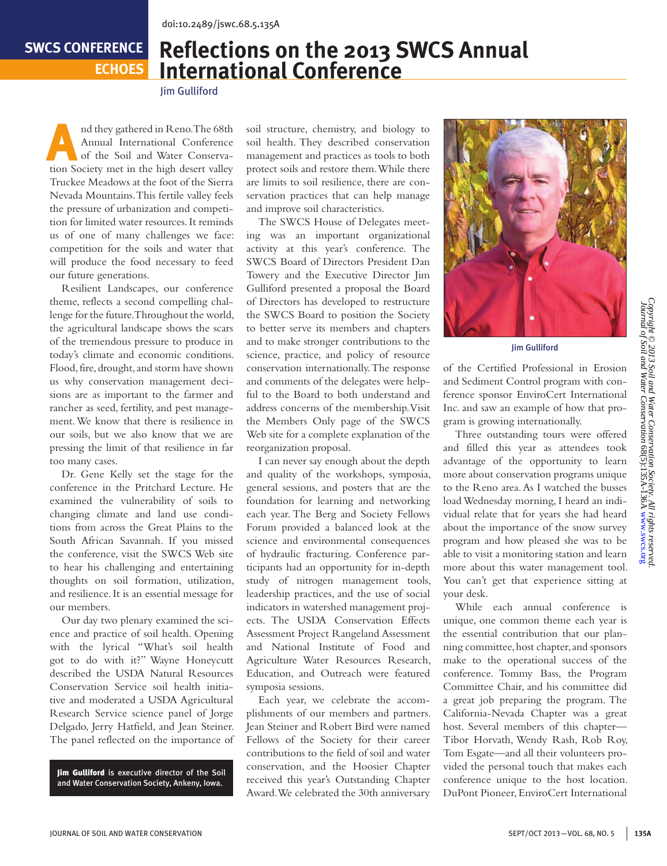## **SWCS CONFERENCE**

**ECHOES**

## **Reflections on the 2013 SWCS Annual International Conference**

Jim Gulliford

And they gathered in Reno. The 68th<br>
Annual International Conference<br>
of the Soil and Water Conserva-Annual International Conference tion Society met in the high desert valley Truckee Meadows at the foot of the Sierra Nevada Mountains. This fertile valley feels the pressure of urbanization and competition for limited water resources. It reminds us of one of many challenges we face: competition for the soils and water that will produce the food necessary to feed our future generations.

Resilient Landscapes, our conference theme, reflects a second compelling challenge for the future. Throughout the world, the agricultural landscape shows the scars of the tremendous pressure to produce in today's climate and economic conditions. Flood, fire, drought, and storm have shown us why conservation management decisions are as important to the farmer and rancher as seed, fertility, and pest management. We know that there is resilience in our soils, but we also know that we are pressing the limit of that resilience in far too many cases.

Dr. Gene Kelly set the stage for the conference in the Pritchard Lecture. He examined the vulnerability of soils to changing climate and land use conditions from across the Great Plains to the South African Savannah. If you missed the conference, visit the SWCS Web site to hear his challenging and entertaining thoughts on soil formation, utilization, and resilience. It is an essential message for our members.

Our day two plenary examined the science and practice of soil health. Opening with the lyrical "What's soil health got to do with it?" Wayne Honeycutt described the USDA Natural Resources Conservation Service soil health initiative and moderated a USDA Agricultural Research Service science panel of Jorge Delgado, Jerry Hatfield, and Jean Steiner. The panel reflected on the importance of

Jim Gulliford is executive director of the Soil and Water Conservation Society, Ankeny, Iowa.

soil structure, chemistry, and biology to soil health. They described conservation management and practices as tools to both protect soils and restore them. While there are limits to soil resilience, there are conservation practices that can help manage and improve soil characteristics.

The SWCS House of Delegates meeting was an important organizational activity at this year's conference. The SWCS Board of Directors President Dan Towery and the Executive Director Jim Gulliford presented a proposal the Board of Directors has developed to restructure the SWCS Board to position the Society to better serve its members and chapters and to make stronger contributions to the science, practice, and policy of resource conservation internationally. The response and comments of the delegates were helpful to the Board to both understand and address concerns of the membership. Visit the Members Only page of the SWCS Web site for a complete explanation of the reorganization proposal.

I can never say enough about the depth and quality of the workshops, symposia, general sessions, and posters that are the foundation for learning and networking each year. The Berg and Society Fellows Forum provided a balanced look at the science and environmental consequences of hydraulic fracturing. Conference participants had an opportunity for in-depth study of nitrogen management tools, leadership practices, and the use of social indicators in watershed management projects. The USDA Conservation Effects Assessment Project Rangeland Assessment and National Institute of Food and Agriculture Water Resources Research, Education, and Outreach were featured symposia sessions.

Each year, we celebrate the accomplishments of our members and partners. Jean Steiner and Robert Bird were named Fellows of the Society for their career contributions to the field of soil and water conservation, and the Hoosier Chapter received this year's Outstanding Chapter Award. We celebrated the 30th anniversary



Jim Gulliford

of the Certified Professional in Erosion and Sediment Control program with conference sponsor EnviroCert International Inc. and saw an example of how that program is growing internationally.

Three outstanding tours were offered and filled this year as attendees took advantage of the opportunity to learn more about conservation programs unique to the Reno area. As I watched the busses load Wednesday morning, I heard an individual relate that for years she had heard about the importance of the snow survey program and how pleased she was to be able to visit a monitoring station and learn more about this water management tool. You can't get that experience sitting at your desk.

While each annual conference is unique, one common theme each year is the essential contribution that our planning committee, host chapter, and sponsors make to the operational success of the conference. Tommy Bass, the Program Committee Chair, and his committee did a great job preparing the program. The California-Nevada Chapter was a great host. Several members of this chapter— Tibor Horvath, Wendy Rash, Rob Roy, Tom Esgate—and all their volunteers provided the personal touch that makes each conference unique to the host location. DuPont Pioneer, EnviroCert International